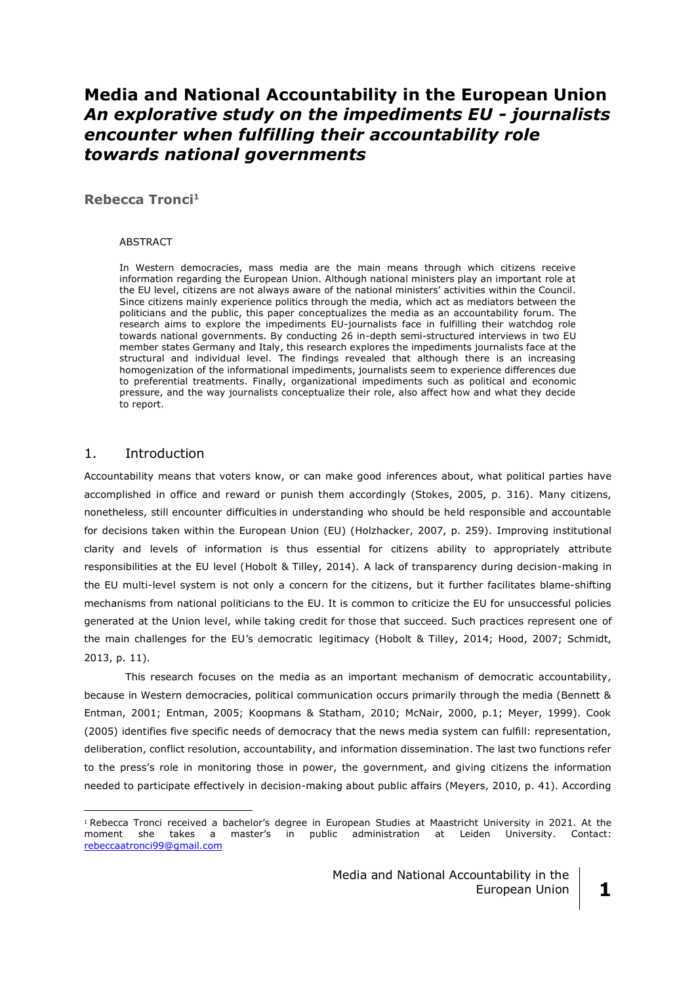# **Media and National Accountability in the European Union** *An explorative study on the impediments EU - journalists encounter when fulfilling their accountability role towards national governments*

**Rebecca Tronci<sup>1</sup>**

### ABSTRACT

In Western democracies, mass media are the main means through which citizens receive information regarding the European Union. Although national ministers play an important role at the EU level, citizens are not always aware of the national ministers' activities within the Council. Since citizens mainly experience politics through the media, which act as mediators between the politicians and the public, this paper conceptualizes the media as an accountability forum. The research aims to explore the impediments EU-journalists face in fulfilling their watchdog role towards national governments. By conducting 26 in-depth semi-structured interviews in two EU member states Germany and Italy, this research explores the impediments journalists face at the structural and individual level. The findings revealed that although there is an increasing homogenization of the informational impediments, journalists seem to experience differences due to preferential treatments. Finally, organizational impediments such as political and economic pressure, and the way journalists conceptualize their role, also affect how and what they decide to report.

# 1. Introduction

<u>.</u>

Accountability means that voters know, or can make good inferences about, what political parties have accomplished in office and reward or punish them accordingly (Stokes, 2005, p. 316). Many citizens, nonetheless, still encounter difficulties in understanding who should be held responsible and accountable for decisions taken within the European Union (EU) (Holzhacker, 2007, p. 259). Improving institutional clarity and levels of information is thus essential for citizens ability to appropriately attribute responsibilities at the EU level (Hobolt & Tilley, 2014). A lack of transparency during decision-making in the EU multi-level system is not only a concern for the citizens, but it further facilitates blame-shifting mechanisms from national politicians to the EU. It is common to criticize the EU for unsuccessful policies generated at the Union level, while taking credit for those that succeed. Such practices represent one of the main challenges for the EU's democratic legitimacy (Hobolt & Tilley, 2014; Hood, 2007; Schmidt, 2013, p. 11).

This research focuses on the media as an important mechanism of democratic accountability, because in Western democracies, political communication occurs primarily through the media (Bennett & Entman, 2001; Entman, 2005; Koopmans & Statham, 2010; McNair, 2000, p.1; Meyer, 1999). Cook (2005) identifies five specific needs of democracy that the news media system can fulfill: representation, deliberation, conflict resolution, accountability, and information dissemination. The last two functions refer to the press's role in monitoring those in power, the government, and giving citizens the information needed to participate effectively in decision-making about public affairs (Meyers, 2010, p. 41). According

<sup>1</sup> Rebecca Tronci received a bachelor's degree in European Studies at Maastricht University in 2021. At the moment she takes a master's in public administration at Leiden University. Contact: [rebeccaatronci99@gmail.com](mailto:rebeccaatronci99@gmail.com)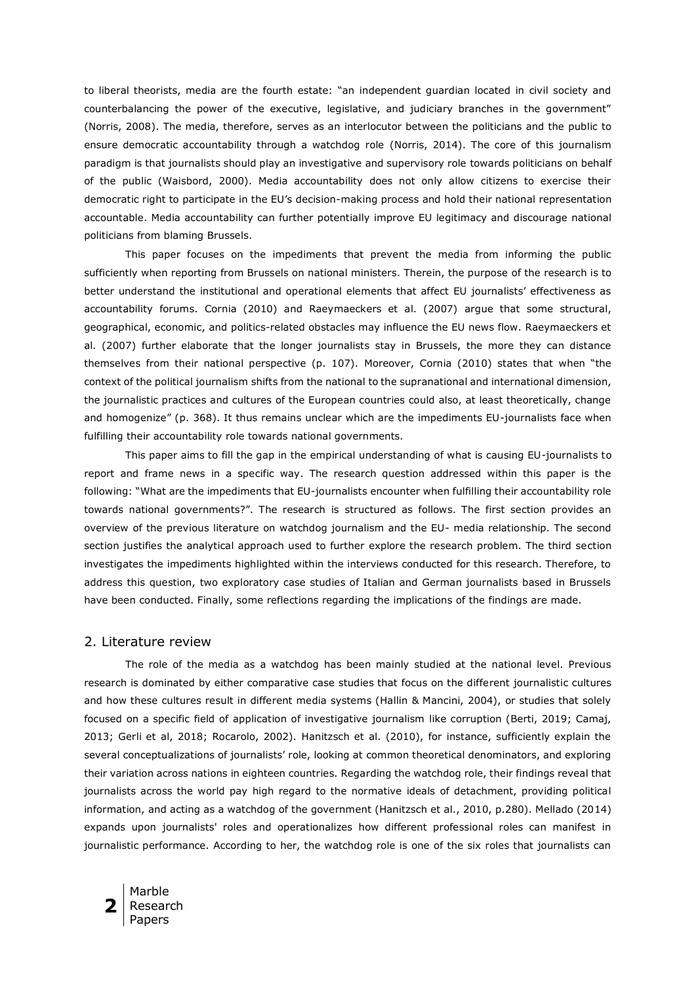to liberal theorists, media are the fourth estate: "an independent guardian located in civil society and counterbalancing the power of the executive, legislative, and judiciary branches in the government" (Norris, 2008). The media, therefore, serves as an interlocutor between the politicians and the public to ensure democratic accountability through a watchdog role (Norris, 2014). The core of this journalism paradigm is that journalists should play an investigative and supervisory role towards politicians on behalf of the public (Waisbord, 2000). Media accountability does not only allow citizens to exercise their democratic right to participate in the EU's decision-making process and hold their national representation accountable. Media accountability can further potentially improve EU legitimacy and discourage national politicians from blaming Brussels.

This paper focuses on the impediments that prevent the media from informing the public sufficiently when reporting from Brussels on national ministers. Therein, the purpose of the research is to better understand the institutional and operational elements that affect EU journalists' effectiveness as accountability forums. Cornia (2010) and Raeymaeckers et al. (2007) argue that some structural, geographical, economic, and politics-related obstacles may influence the EU news flow. Raeymaeckers et al. (2007) further elaborate that the longer journalists stay in Brussels, the more they can distance themselves from their national perspective (p. 107). Moreover, Cornia (2010) states that when "the context of the political journalism shifts from the national to the supranational and international dimension, the journalistic practices and cultures of the European countries could also, at least theoretically, change and homogenize" (p. 368). It thus remains unclear which are the impediments EU-journalists face when fulfilling their accountability role towards national governments.

This paper aims to fill the gap in the empirical understanding of what is causing EU-journalists to report and frame news in a specific way. The research question addressed within this paper is the following: "What are the impediments that EU-journalists encounter when fulfilling their accountability role towards national governments?". The research is structured as follows. The first section provides an overview of the previous literature on watchdog journalism and the EU- media relationship. The second section justifies the analytical approach used to further explore the research problem. The third section investigates the impediments highlighted within the interviews conducted for this research. Therefore, to address this question, two exploratory case studies of Italian and German journalists based in Brussels have been conducted. Finally, some reflections regarding the implications of the findings are made.

## 2. Literature review

The role of the media as a watchdog has been mainly studied at the national level. Previous research is dominated by either comparative case studies that focus on the different journalistic cultures and how these cultures result in different media systems (Hallin & Mancini, 2004), or studies that solely focused on a specific field of application of investigative journalism like corruption (Berti, 2019; Camaj, 2013; Gerli et al, 2018; Rocarolo, 2002). Hanitzsch et al. (2010), for instance, sufficiently explain the several conceptualizations of journalists' role, looking at common theoretical denominators, and exploring their variation across nations in eighteen countries. Regarding the watchdog role, their findings reveal that journalists across the world pay high regard to the normative ideals of detachment, providing political information, and acting as a watchdog of the government (Hanitzsch et al., 2010, p.280). Mellado (2014) expands upon journalists' roles and operationalizes how different professional roles can manifest in journalistic performance. According to her, the watchdog role is one of the six roles that journalists can

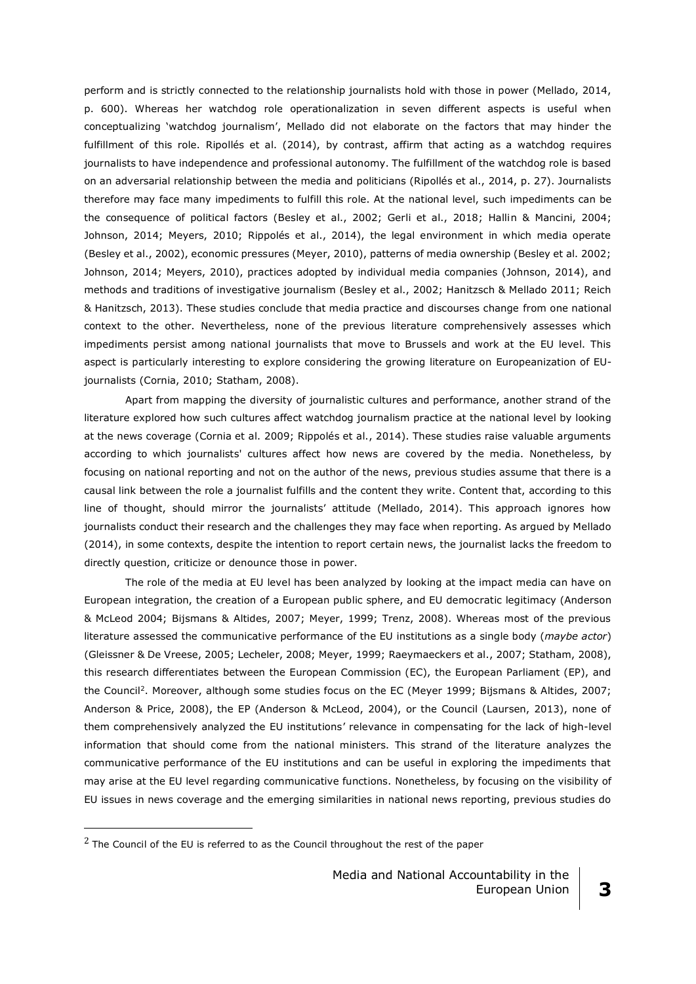perform and is strictly connected to the relationship journalists hold with those in power (Mellado, 2014, p. 600). Whereas her watchdog role operationalization in seven different aspects is useful when conceptualizing 'watchdog journalism', Mellado did not elaborate on the factors that may hinder the fulfillment of this role. Ripollés et al. (2014), by contrast, affirm that acting as a watchdog requires journalists to have independence and professional autonomy. The fulfillment of the watchdog role is based on an adversarial relationship between the media and politicians (Ripollés et al., 2014, p. 27). Journalists therefore may face many impediments to fulfill this role. At the national level, such impediments can be the consequence of political factors (Besley et al., 2002; Gerli et al., 2018; Hallin & Mancini, 2004; Johnson, 2014; Meyers, 2010; Rippolés et al., 2014), the legal environment in which media operate (Besley et al., 2002), economic pressures (Meyer, 2010), patterns of media ownership (Besley et al. 2002; Johnson, 2014; Meyers, 2010), practices adopted by individual media companies (Johnson, 2014), and methods and traditions of investigative journalism (Besley et al., 2002; Hanitzsch & Mellado 2011; Reich & Hanitzsch, 2013). These studies conclude that media practice and discourses change from one national context to the other. Nevertheless, none of the previous literature comprehensively assesses which impediments persist among national journalists that move to Brussels and work at the EU level. This aspect is particularly interesting to explore considering the growing literature on Europeanization of EUjournalists (Cornia, 2010; Statham, 2008).

Apart from mapping the diversity of journalistic cultures and performance, another strand of the literature explored how such cultures affect watchdog journalism practice at the national level by looking at the news coverage (Cornia et al. 2009; Rippolés et al., 2014). These studies raise valuable arguments according to which journalists' cultures affect how news are covered by the media. Nonetheless, by focusing on national reporting and not on the author of the news, previous studies assume that there is a causal link between the role a journalist fulfills and the content they write. Content that, according to this line of thought, should mirror the journalists' attitude (Mellado, 2014). This approach ignores how journalists conduct their research and the challenges they may face when reporting. As argued by Mellado (2014), in some contexts, despite the intention to report certain news, the journalist lacks the freedom to directly question, criticize or denounce those in power.

The role of the media at EU level has been analyzed by looking at the impact media can have on European integration, the creation of a European public sphere, and EU democratic legitimacy (Anderson & McLeod 2004; Bijsmans & Altides, 2007; Meyer, 1999; Trenz, 2008). Whereas most of the previous literature assessed the communicative performance of the EU institutions as a single body (*maybe actor*) (Gleissner & De Vreese, 2005; Lecheler, 2008; Meyer, 1999; Raeymaeckers et al., 2007; Statham, 2008), this research differentiates between the European Commission (EC), the European Parliament (EP), and the Council<sup>2</sup> . Moreover, although some studies focus on the EC (Meyer 1999; Bijsmans & Altides, 2007; Anderson & Price, 2008), the EP (Anderson & McLeod, 2004), or the Council (Laursen, 2013), none of them comprehensively analyzed the EU institutions' relevance in compensating for the lack of high-level information that should come from the national ministers. This strand of the literature analyzes the communicative performance of the EU institutions and can be useful in exploring the impediments that may arise at the EU level regarding communicative functions. Nonetheless, by focusing on the visibility of EU issues in news coverage and the emerging similarities in national news reporting, previous studies do

<u>.</u>

 $2$  The Council of the EU is referred to as the Council throughout the rest of the paper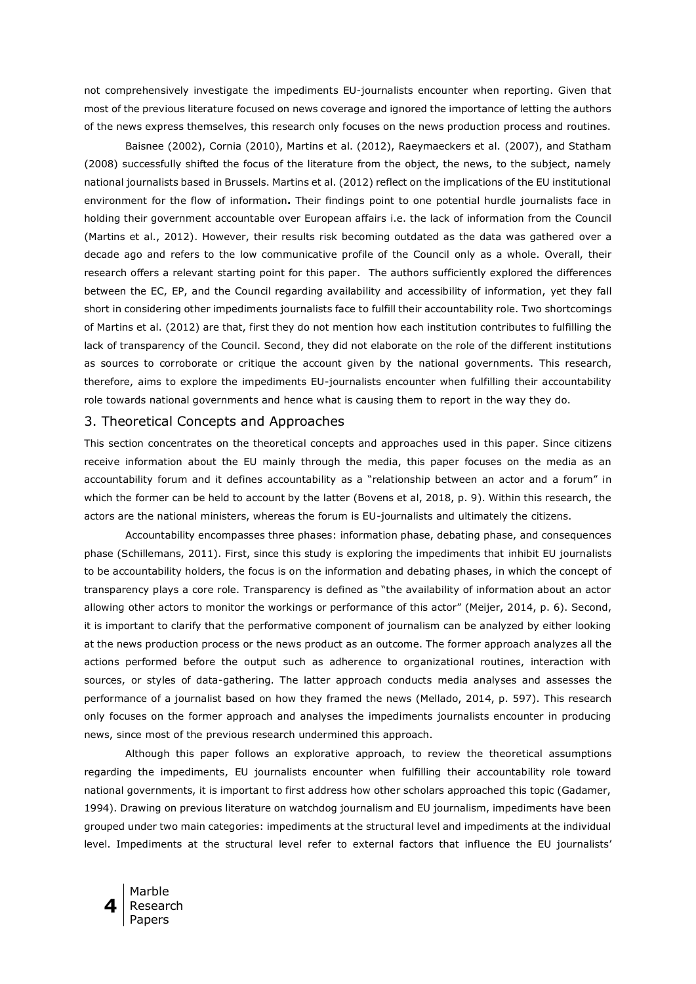not comprehensively investigate the impediments EU-journalists encounter when reporting. Given that most of the previous literature focused on news coverage and ignored the importance of letting the authors of the news express themselves, this research only focuses on the news production process and routines.

Baisnee (2002), Cornia (2010), Martins et al. (2012), Raeymaeckers et al. (2007), and Statham (2008) successfully shifted the focus of the literature from the object, the news, to the subject, namely national journalists based in Brussels. Martins et al. (2012) reflect on the implications of the EU institutional environment for the flow of information**.** Their findings point to one potential hurdle journalists face in holding their government accountable over European affairs i.e. the lack of information from the Council (Martins et al., 2012). However, their results risk becoming outdated as the data was gathered over a decade ago and refers to the low communicative profile of the Council only as a whole. Overall, their research offers a relevant starting point for this paper. The authors sufficiently explored the differences between the EC, EP, and the Council regarding availability and accessibility of information, yet they fall short in considering other impediments journalists face to fulfill their accountability role. Two shortcomings of Martins et al. (2012) are that, first they do not mention how each institution contributes to fulfilling the lack of transparency of the Council. Second, they did not elaborate on the role of the different institutions as sources to corroborate or critique the account given by the national governments. This research, therefore, aims to explore the impediments EU-journalists encounter when fulfilling their accountability role towards national governments and hence what is causing them to report in the way they do.

## 3. Theoretical Concepts and Approaches

This section concentrates on the theoretical concepts and approaches used in this paper. Since citizens receive information about the EU mainly through the media, this paper focuses on the media as an accountability forum and it defines accountability as a "relationship between an actor and a forum" in which the former can be held to account by the latter (Bovens et al, 2018, p. 9). Within this research, the actors are the national ministers, whereas the forum is EU-journalists and ultimately the citizens.

Accountability encompasses three phases: information phase, debating phase, and consequences phase (Schillemans, 2011). First, since this study is exploring the impediments that inhibit EU journalists to be accountability holders, the focus is on the information and debating phases, in which the concept of transparency plays a core role. Transparency is defined as "the availability of information about an actor allowing other actors to monitor the workings or performance of this actor" (Meijer, 2014, p. 6). Second, it is important to clarify that the performative component of journalism can be analyzed by either looking at the news production process or the news product as an outcome. The former approach analyzes all the actions performed before the output such as adherence to organizational routines, interaction with sources, or styles of data-gathering. The latter approach conducts media analyses and assesses the performance of a journalist based on how they framed the news (Mellado, 2014, p. 597). This research only focuses on the former approach and analyses the impediments journalists encounter in producing news, since most of the previous research undermined this approach.

Although this paper follows an explorative approach, to review the theoretical assumptions regarding the impediments, EU journalists encounter when fulfilling their accountability role toward national governments, it is important to first address how other scholars approached this topic (Gadamer, 1994). Drawing on previous literature on watchdog journalism and EU journalism, impediments have been grouped under two main categories: impediments at the structural level and impediments at the individual level. Impediments at the structural level refer to external factors that influence the EU journalists'

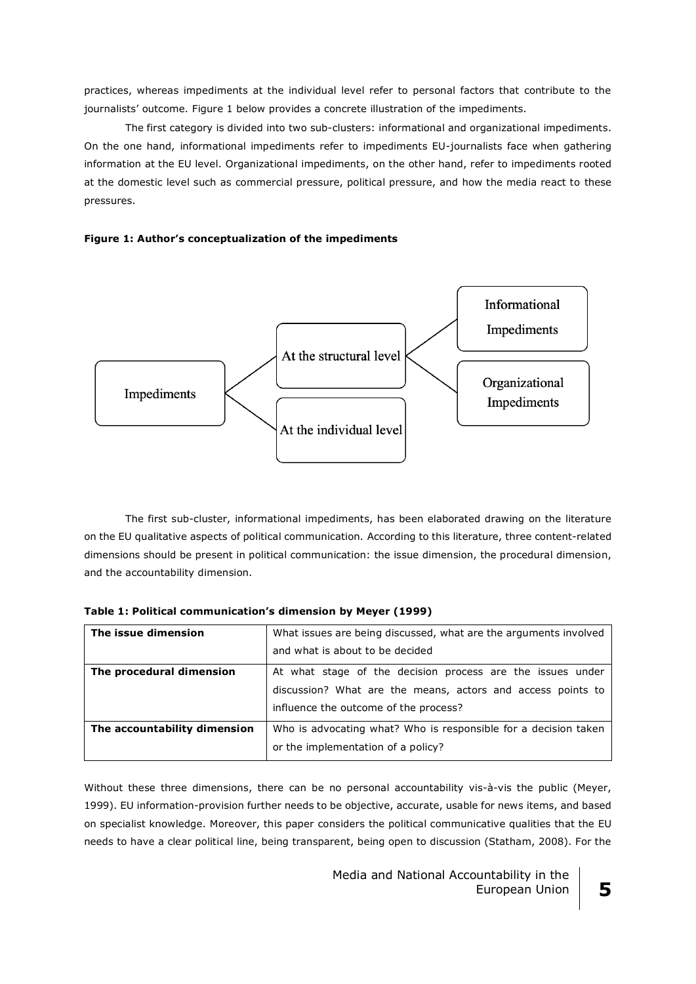practices, whereas impediments at the individual level refer to personal factors that contribute to the journalists' outcome. Figure 1 below provides a concrete illustration of the impediments.

The first category is divided into two sub-clusters: informational and organizational impediments. On the one hand, informational impediments refer to impediments EU-journalists face when gathering information at the EU level. Organizational impediments, on the other hand, refer to impediments rooted at the domestic level such as commercial pressure, political pressure, and how the media react to these pressures.

## **Figure 1: Author's conceptualization of the impediments**



The first sub-cluster, informational impediments, has been elaborated drawing on the literature on the EU qualitative aspects of political communication. According to this literature, three content-related dimensions should be present in political communication: the issue dimension, the procedural dimension, and the accountability dimension.

| The issue dimension          | What issues are being discussed, what are the arguments involved |  |
|------------------------------|------------------------------------------------------------------|--|
|                              | and what is about to be decided                                  |  |
| The procedural dimension     | At what stage of the decision process are the issues under       |  |
|                              | discussion? What are the means, actors and access points to      |  |
|                              | influence the outcome of the process?                            |  |
| The accountability dimension | Who is advocating what? Who is responsible for a decision taken  |  |
|                              | or the implementation of a policy?                               |  |

|  | Table 1: Political communication's dimension by Meyer (1999) |  |  |  |  |  |
|--|--------------------------------------------------------------|--|--|--|--|--|
|--|--------------------------------------------------------------|--|--|--|--|--|

Without these three dimensions, there can be no personal accountability vis-à-vis the public (Meyer, 1999). EU information-provision further needs to be objective, accurate, usable for news items, and based on specialist knowledge. Moreover, this paper considers the political communicative qualities that the EU needs to have a clear political line, being transparent, being open to discussion (Statham, 2008). For the

> Media and National Accountability in the European Union **5**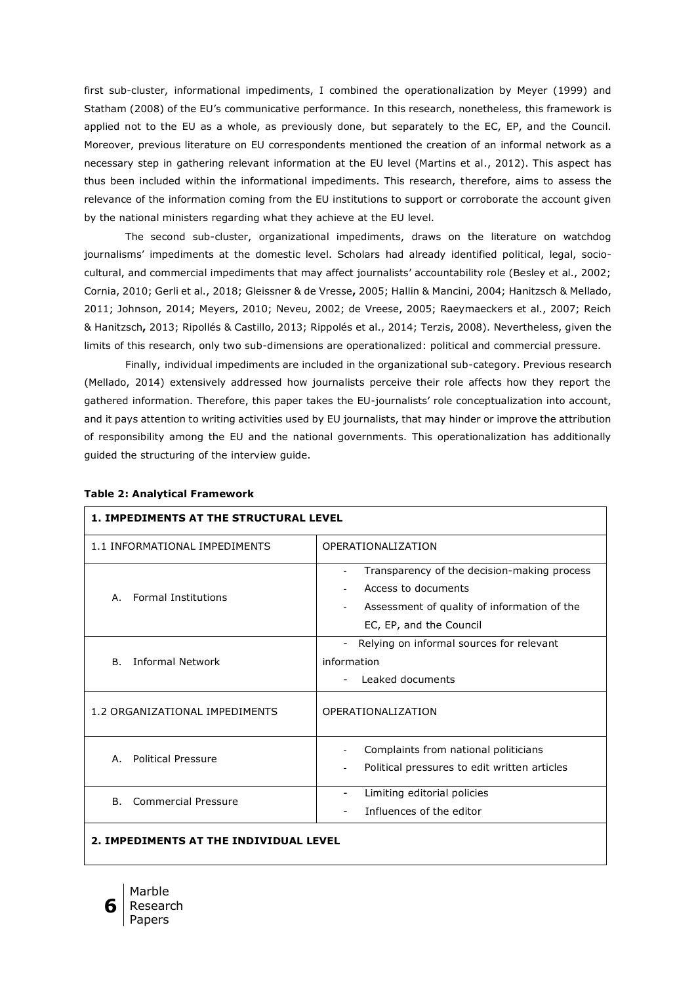first sub-cluster, informational impediments, I combined the operationalization by Meyer (1999) and Statham (2008) of the EU's communicative performance. In this research, nonetheless, this framework is applied not to the EU as a whole, as previously done, but separately to the EC, EP, and the Council. Moreover, previous literature on EU correspondents mentioned the creation of an informal network as a necessary step in gathering relevant information at the EU level (Martins et al., 2012). This aspect has thus been included within the informational impediments. This research, therefore, aims to assess the relevance of the information coming from the EU institutions to support or corroborate the account given by the national ministers regarding what they achieve at the EU level.

The second sub-cluster, organizational impediments, draws on the literature on watchdog journalisms' impediments at the domestic level. Scholars had already identified political, legal, sociocultural, and commercial impediments that may affect journalists' accountability role (Besley et al., 2002; Cornia, 2010; Gerli et al., 2018; Gleissner & de Vresse**,** 2005; Hallin & Mancini, 2004; Hanitzsch & Mellado, 2011; Johnson, 2014; Meyers, 2010; Neveu, 2002; de Vreese, 2005; Raeymaeckers et al., 2007; Reich & Hanitzsch**,** 2013; Ripollés & Castillo, 2013; Rippolés et al., 2014; Terzis, 2008). Nevertheless, given the limits of this research, only two sub-dimensions are operationalized: political and commercial pressure.

Finally, individual impediments are included in the organizational sub-category. Previous research (Mellado, 2014) extensively addressed how journalists perceive their role affects how they report the gathered information. Therefore, this paper takes the EU-journalists' role conceptualization into account, and it pays attention to writing activities used by EU journalists, that may hinder or improve the attribution of responsibility among the EU and the national governments. This operationalization has additionally guided the structuring of the interview guide.

| <b>1. IMPEDIMENTS AT THE STRUCTURAL LEVEL</b> |                                                                                                                                              |  |
|-----------------------------------------------|----------------------------------------------------------------------------------------------------------------------------------------------|--|
| 1.1 INFORMATIONAL IMPEDIMENTS                 | OPERATIONALIZATION                                                                                                                           |  |
| <b>Formal Institutions</b><br>А.              | Transparency of the decision-making process<br>Access to documents<br>Assessment of quality of information of the<br>EC, EP, and the Council |  |
| <b>Informal Network</b><br><b>B.</b>          | Relying on informal sources for relevant<br>$\overline{\phantom{0}}$<br>information<br>Leaked documents                                      |  |
| 1.2 ORGANIZATIONAL IMPEDIMENTS                | OPERATIONALIZATION                                                                                                                           |  |
| <b>Political Pressure</b><br>A.               | Complaints from national politicians<br>Political pressures to edit written articles<br>$\overline{a}$                                       |  |
| <b>Commercial Pressure</b><br>B.              | Limiting editorial policies<br>Influences of the editor                                                                                      |  |
| 2. IMPEDIMENTS AT THE INDIVIDUAL LEVEL        |                                                                                                                                              |  |

### **Table 2: Analytical Framework**

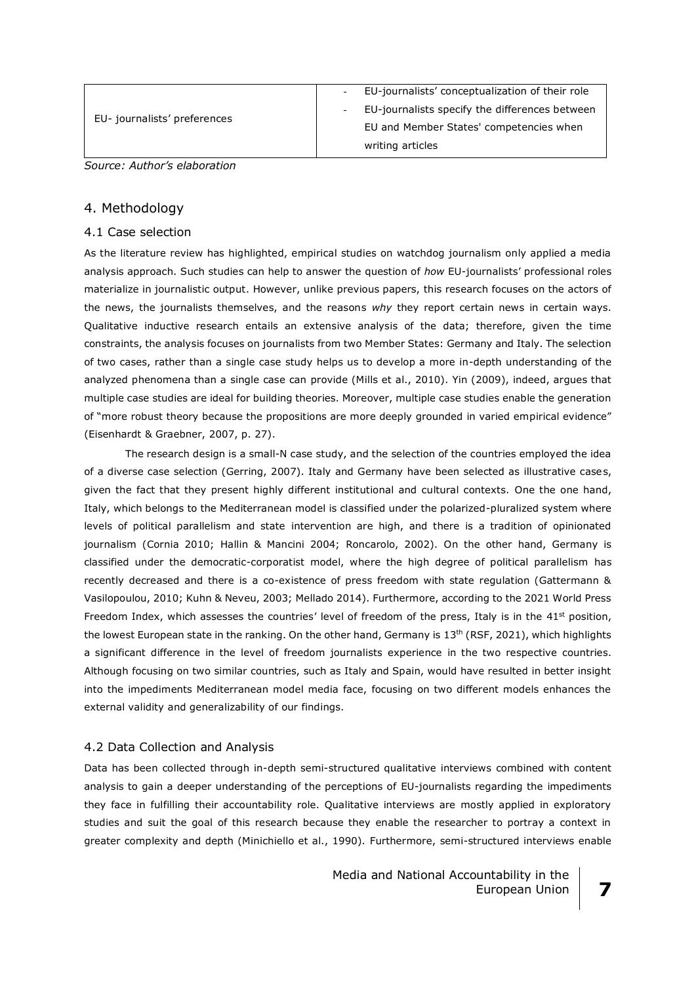|                             | EU-journalists' conceptualization of their role                            |
|-----------------------------|----------------------------------------------------------------------------|
|                             | EU-journalists specify the differences between<br>$\overline{\phantom{a}}$ |
| EU-journalists' preferences | EU and Member States' competencies when                                    |
|                             | writing articles                                                           |

*Source: Author's elaboration*

# 4. Methodology

## 4.1 Case selection

As the literature review has highlighted, empirical studies on watchdog journalism only applied a media analysis approach. Such studies can help to answer the question of *how* EU-journalists' professional roles materialize in journalistic output. However, unlike previous papers, this research focuses on the actors of the news, the journalists themselves, and the reasons *why* they report certain news in certain ways. Qualitative inductive research entails an extensive analysis of the data; therefore, given the time constraints, the analysis focuses on journalists from two Member States: Germany and Italy. The selection of two cases, rather than a single case study helps us to develop a more in-depth understanding of the analyzed phenomena than a single case can provide (Mills et al., 2010). Yin (2009), indeed, argues that multiple case studies are ideal for building theories. Moreover, multiple case studies enable the generation of "more robust theory because the propositions are more deeply grounded in varied empirical evidence" (Eisenhardt & Graebner, 2007, p. 27).

The research design is a small-N case study, and the selection of the countries employed the idea of a diverse case selection (Gerring, 2007). Italy and Germany have been selected as illustrative cases, given the fact that they present highly different institutional and cultural contexts. One the one hand, Italy, which belongs to the Mediterranean model is classified under the polarized-pluralized system where levels of political parallelism and state intervention are high, and there is a tradition of opinionated journalism (Cornia 2010; Hallin & Mancini 2004; Roncarolo, 2002). On the other hand, Germany is classified under the democratic-corporatist model, where the high degree of political parallelism has recently decreased and there is a co-existence of press freedom with state regulation (Gattermann & Vasilopoulou, 2010; Kuhn & Neveu, 2003; Mellado 2014). Furthermore, according to the 2021 World Press Freedom Index, which assesses the countries' level of freedom of the press, Italy is in the  $41<sup>st</sup>$  position, the lowest European state in the ranking. On the other hand, Germany is  $13<sup>th</sup>$  (RSF, 2021), which highlights a significant difference in the level of freedom journalists experience in the two respective countries. Although focusing on two similar countries, such as Italy and Spain, would have resulted in better insight into the impediments Mediterranean model media face, focusing on two different models enhances the external validity and generalizability of our findings.

# 4.2 Data Collection and Analysis

Data has been collected through in-depth semi-structured qualitative interviews combined with content analysis to gain a deeper understanding of the perceptions of EU-journalists regarding the impediments they face in fulfilling their accountability role. Qualitative interviews are mostly applied in exploratory studies and suit the goal of this research because they enable the researcher to portray a context in greater complexity and depth (Minichiello et al., 1990). Furthermore, semi-structured interviews enable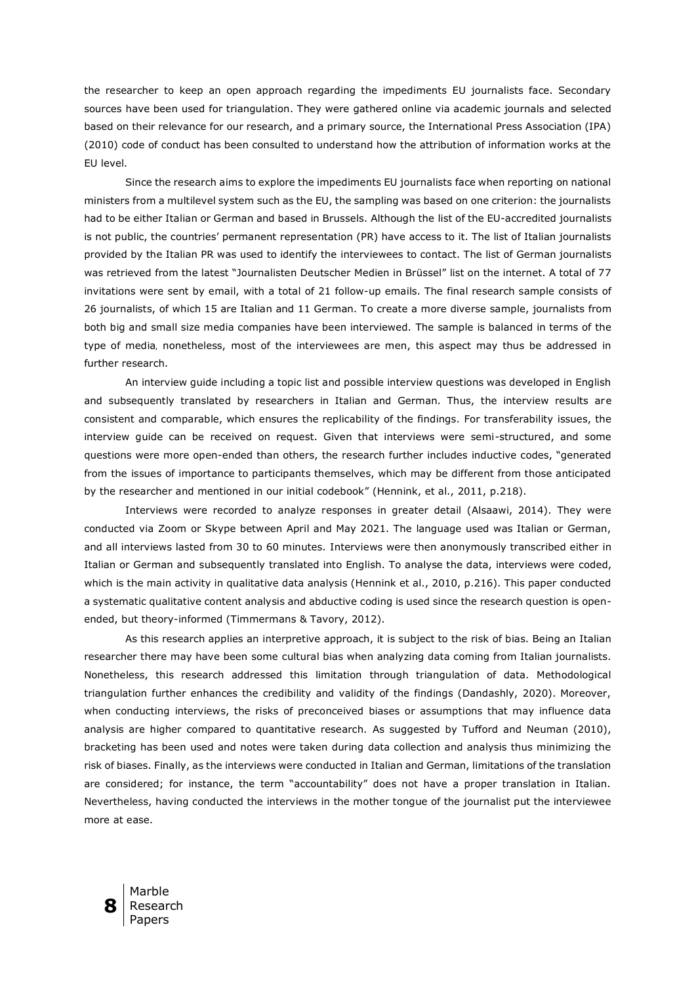the researcher to keep an open approach regarding the impediments EU journalists face. Secondary sources have been used for triangulation. They were gathered online via academic journals and selected based on their relevance for our research, and a primary source, the International Press Association (IPA) (2010) code of conduct has been consulted to understand how the attribution of information works at the EU level.

Since the research aims to explore the impediments EU journalists face when reporting on national ministers from a multilevel system such as the EU, the sampling was based on one criterion: the journalists had to be either Italian or German and based in Brussels. Although the list of the EU-accredited journalists is not public, the countries' permanent representation (PR) have access to it. The list of Italian journalists provided by the Italian PR was used to identify the interviewees to contact. The list of German journalists was retrieved from the latest "Journalisten Deutscher Medien in Brüssel" list on the internet. A total of 77 invitations were sent by email, with a total of 21 follow-up emails. The final research sample consists of 26 journalists, of which 15 are Italian and 11 German. To create a more diverse sample, journalists from both big and small size media companies have been interviewed. The sample is balanced in terms of the type of media, nonetheless, most of the interviewees are men, this aspect may thus be addressed in further research.

An interview guide including a topic list and possible interview questions was developed in English and subsequently translated by researchers in Italian and German. Thus, the interview results are consistent and comparable, which ensures the replicability of the findings. For transferability issues, the interview guide can be received on request. Given that interviews were semi-structured, and some questions were more open-ended than others, the research further includes inductive codes, "generated from the issues of importance to participants themselves, which may be different from those anticipated by the researcher and mentioned in our initial codebook" (Hennink, et al., 2011, p.218).

Interviews were recorded to analyze responses in greater detail (Alsaawi, 2014). They were conducted via Zoom or Skype between April and May 2021. The language used was Italian or German, and all interviews lasted from 30 to 60 minutes. Interviews were then anonymously transcribed either in Italian or German and subsequently translated into English. To analyse the data, interviews were coded, which is the main activity in qualitative data analysis (Hennink et al., 2010, p.216). This paper conducted a systematic qualitative content analysis and abductive coding is used since the research question is openended, but theory-informed (Timmermans & Tavory, 2012).

As this research applies an interpretive approach, it is subject to the risk of bias. Being an Italian researcher there may have been some cultural bias when analyzing data coming from Italian journalists. Nonetheless, this research addressed this limitation through triangulation of data. Methodological triangulation further enhances the credibility and validity of the findings (Dandashly, 2020). Moreover, when conducting interviews, the risks of preconceived biases or assumptions that may influence data analysis are higher compared to quantitative research. As suggested by Tufford and Neuman (2010), bracketing has been used and notes were taken during data collection and analysis thus minimizing the risk of biases. Finally, as the interviews were conducted in Italian and German, limitations of the translation are considered; for instance, the term "accountability" does not have a proper translation in Italian. Nevertheless, having conducted the interviews in the mother tongue of the journalist put the interviewee more at ease.

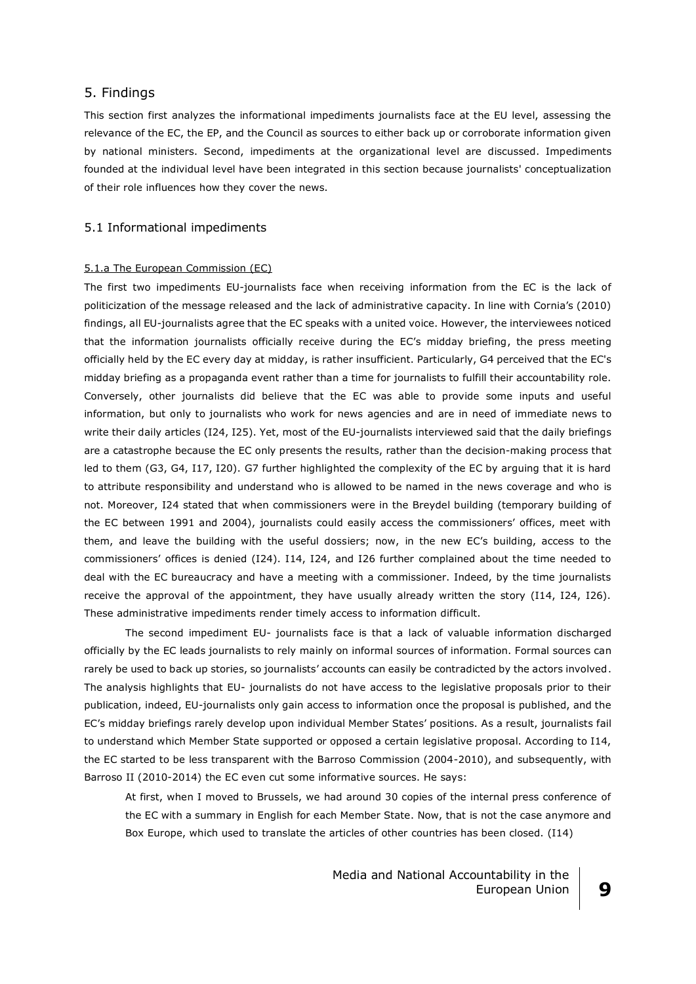# 5. Findings

This section first analyzes the informational impediments journalists face at the EU level, assessing the relevance of the EC, the EP, and the Council as sources to either back up or corroborate information given by national ministers. Second, impediments at the organizational level are discussed. Impediments founded at the individual level have been integrated in this section because journalists' conceptualization of their role influences how they cover the news.

## 5.1 Informational impediments

#### 5.1.a The European Commission (EC)

The first two impediments EU-journalists face when receiving information from the EC is the lack of politicization of the message released and the lack of administrative capacity. In line with Cornia's (2010) findings, all EU-journalists agree that the EC speaks with a united voice. However, the interviewees noticed that the information journalists officially receive during the EC's midday briefing, the press meeting officially held by the EC every day at midday, is rather insufficient. Particularly, G4 perceived that the EC's midday briefing as a propaganda event rather than a time for journalists to fulfill their accountability role. Conversely, other journalists did believe that the EC was able to provide some inputs and useful information, but only to journalists who work for news agencies and are in need of immediate news to write their daily articles (I24, I25). Yet, most of the EU-journalists interviewed said that the daily briefings are a catastrophe because the EC only presents the results, rather than the decision-making process that led to them (G3, G4, I17, I20). G7 further highlighted the complexity of the EC by arguing that it is hard to attribute responsibility and understand who is allowed to be named in the news coverage and who is not. Moreover, I24 stated that when commissioners were in the Breydel building (temporary building of the EC between 1991 and 2004), journalists could easily access the commissioners' offices, meet with them, and leave the building with the useful dossiers; now, in the new EC's building, access to the commissioners' offices is denied (I24). I14, I24, and I26 further complained about the time needed to deal with the EC bureaucracy and have a meeting with a commissioner. Indeed, by the time journalists receive the approval of the appointment, they have usually already written the story (I14, I24, I26). These administrative impediments render timely access to information difficult.

The second impediment EU- journalists face is that a lack of valuable information discharged officially by the EC leads journalists to rely mainly on informal sources of information. Formal sources can rarely be used to back up stories, so journalists' accounts can easily be contradicted by the actors involved. The analysis highlights that EU- journalists do not have access to the legislative proposals prior to their publication, indeed, EU-journalists only gain access to information once the proposal is published, and the EC's midday briefings rarely develop upon individual Member States' positions. As a result, journalists fail to understand which Member State supported or opposed a certain legislative proposal. According to I14, the EC started to be less transparent with the Barroso Commission (2004-2010), and subsequently, with Barroso II (2010-2014) the EC even cut some informative sources. He says:

At first, when I moved to Brussels, we had around 30 copies of the internal press conference of the EC with a summary in English for each Member State. Now, that is not the case anymore and Box Europe, which used to translate the articles of other countries has been closed. (I14)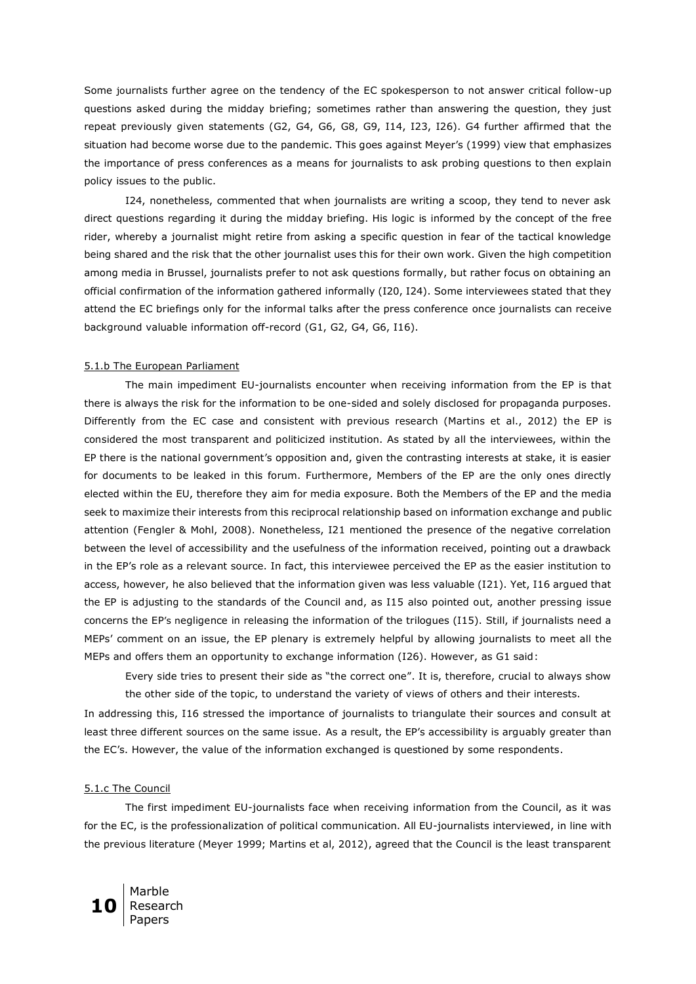Some journalists further agree on the tendency of the EC spokesperson to not answer critical follow-up questions asked during the midday briefing; sometimes rather than answering the question, they just repeat previously given statements (G2, G4, G6, G8, G9, I14, I23, I26). G4 further affirmed that the situation had become worse due to the pandemic. This goes against Meyer's (1999) view that emphasizes the importance of press conferences as a means for journalists to ask probing questions to then explain policy issues to the public.

I24, nonetheless, commented that when journalists are writing a scoop, they tend to never ask direct questions regarding it during the midday briefing. His logic is informed by the concept of the free rider, whereby a journalist might retire from asking a specific question in fear of the tactical knowledge being shared and the risk that the other journalist uses this for their own work. Given the high competition among media in Brussel, journalists prefer to not ask questions formally, but rather focus on obtaining an official confirmation of the information gathered informally (I20, I24). Some interviewees stated that they attend the EC briefings only for the informal talks after the press conference once journalists can receive background valuable information off-record (G1, G2, G4, G6, I16).

#### 5.1.b The European Parliament

The main impediment EU-journalists encounter when receiving information from the EP is that there is always the risk for the information to be one-sided and solely disclosed for propaganda purposes. Differently from the EC case and consistent with previous research (Martins et al., 2012) the EP is considered the most transparent and politicized institution. As stated by all the interviewees, within the EP there is the national government's opposition and, given the contrasting interests at stake, it is easier for documents to be leaked in this forum. Furthermore, Members of the EP are the only ones directly elected within the EU, therefore they aim for media exposure. Both the Members of the EP and the media seek to maximize their interests from this reciprocal relationship based on information exchange and public attention (Fengler & Mohl, 2008). Nonetheless, I21 mentioned the presence of the negative correlation between the level of accessibility and the usefulness of the information received, pointing out a drawback in the EP's role as a relevant source. In fact, this interviewee perceived the EP as the easier institution to access, however, he also believed that the information given was less valuable (I21). Yet, I16 argued that the EP is adjusting to the standards of the Council and, as I15 also pointed out, another pressing issue concerns the EP's negligence in releasing the information of the trilogues (I15). Still, if journalists need a MEPs' comment on an issue, the EP plenary is extremely helpful by allowing journalists to meet all the MEPs and offers them an opportunity to exchange information (I26). However, as G1 said:

Every side tries to present their side as "the correct one". It is, therefore, crucial to always show the other side of the topic, to understand the variety of views of others and their interests.

In addressing this, I16 stressed the importance of journalists to triangulate their sources and consult at least three different sources on the same issue. As a result, the EP's accessibility is arguably greater than the EC's. However, the value of the information exchanged is questioned by some respondents.

#### 5.1.c The Council

The first impediment EU-journalists face when receiving information from the Council, as it was for the EC, is the professionalization of political communication. All EU-journalists interviewed, in line with the previous literature (Meyer 1999; Martins et al, 2012), agreed that the Council is the least transparent

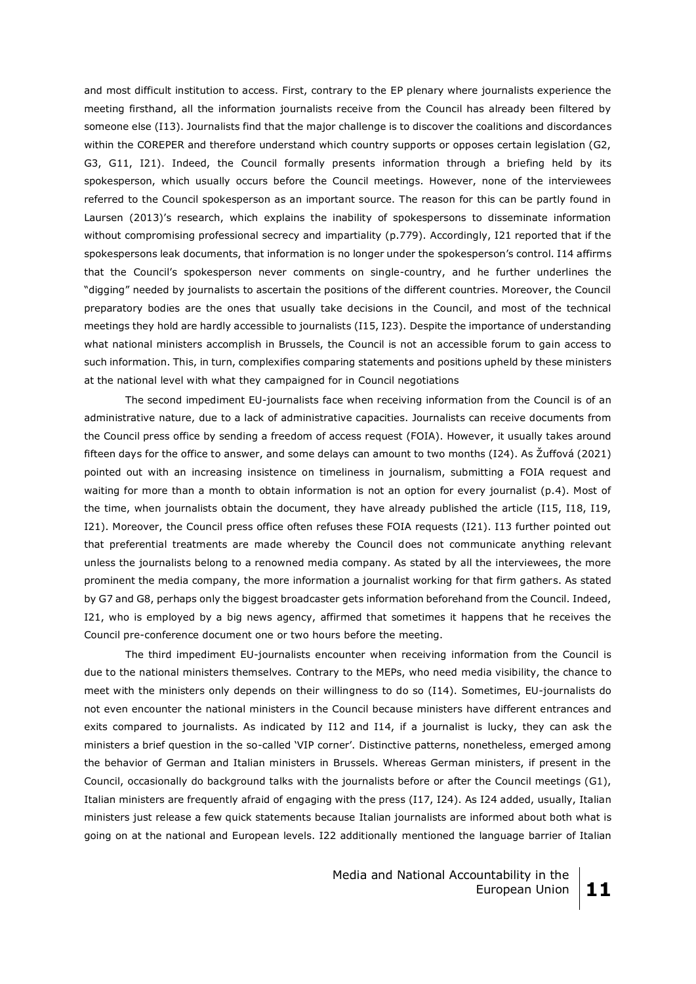and most difficult institution to access. First, contrary to the EP plenary where journalists experience the meeting firsthand, all the information journalists receive from the Council has already been filtered by someone else (I13). Journalists find that the major challenge is to discover the coalitions and discordances within the COREPER and therefore understand which country supports or opposes certain legislation (G2, G3, G11, I21). Indeed, the Council formally presents information through a briefing held by its spokesperson, which usually occurs before the Council meetings. However, none of the interviewees referred to the Council spokesperson as an important source. The reason for this can be partly found in Laursen (2013)'s research, which explains the inability of spokespersons to disseminate information without compromising professional secrecy and impartiality (p.779). Accordingly, I21 reported that if the spokespersons leak documents, that information is no longer under the spokesperson's control. I14 affirms that the Council's spokesperson never comments on single-country, and he further underlines the "digging" needed by journalists to ascertain the positions of the different countries. Moreover, the Council preparatory bodies are the ones that usually take decisions in the Council, and most of the technical meetings they hold are hardly accessible to journalists (I15, I23). Despite the importance of understanding what national ministers accomplish in Brussels, the Council is not an accessible forum to gain access to such information. This, in turn, complexifies comparing statements and positions upheld by these ministers at the national level with what they campaigned for in Council negotiations

The second impediment EU-journalists face when receiving information from the Council is of an administrative nature, due to a lack of administrative capacities. Journalists can receive documents from the Council press office by sending a freedom of access request (FOIA). However, it usually takes around fifteen days for the office to answer, and some delays can amount to two months (I24). As Žuffová (2021) pointed out with an increasing insistence on timeliness in journalism, submitting a FOIA request and waiting for more than a month to obtain information is not an option for every journalist (p.4). Most of the time, when journalists obtain the document, they have already published the article (I15, I18, I19, I21). Moreover, the Council press office often refuses these FOIA requests (I21). I13 further pointed out that preferential treatments are made whereby the Council does not communicate anything relevant unless the journalists belong to a renowned media company. As stated by all the interviewees, the more prominent the media company, the more information a journalist working for that firm gathers. As stated by G7 and G8, perhaps only the biggest broadcaster gets information beforehand from the Council. Indeed, I21, who is employed by a big news agency, affirmed that sometimes it happens that he receives the Council pre-conference document one or two hours before the meeting.

The third impediment EU-journalists encounter when receiving information from the Council is due to the national ministers themselves. Contrary to the MEPs, who need media visibility, the chance to meet with the ministers only depends on their willingness to do so (I14). Sometimes, EU-journalists do not even encounter the national ministers in the Council because ministers have different entrances and exits compared to journalists. As indicated by I12 and I14, if a journalist is lucky, they can ask the ministers a brief question in the so-called 'VIP corner'. Distinctive patterns, nonetheless, emerged among the behavior of German and Italian ministers in Brussels. Whereas German ministers, if present in the Council, occasionally do background talks with the journalists before or after the Council meetings (G1), Italian ministers are frequently afraid of engaging with the press (I17, I24). As I24 added, usually, Italian ministers just release a few quick statements because Italian journalists are informed about both what is going on at the national and European levels. I22 additionally mentioned the language barrier of Italian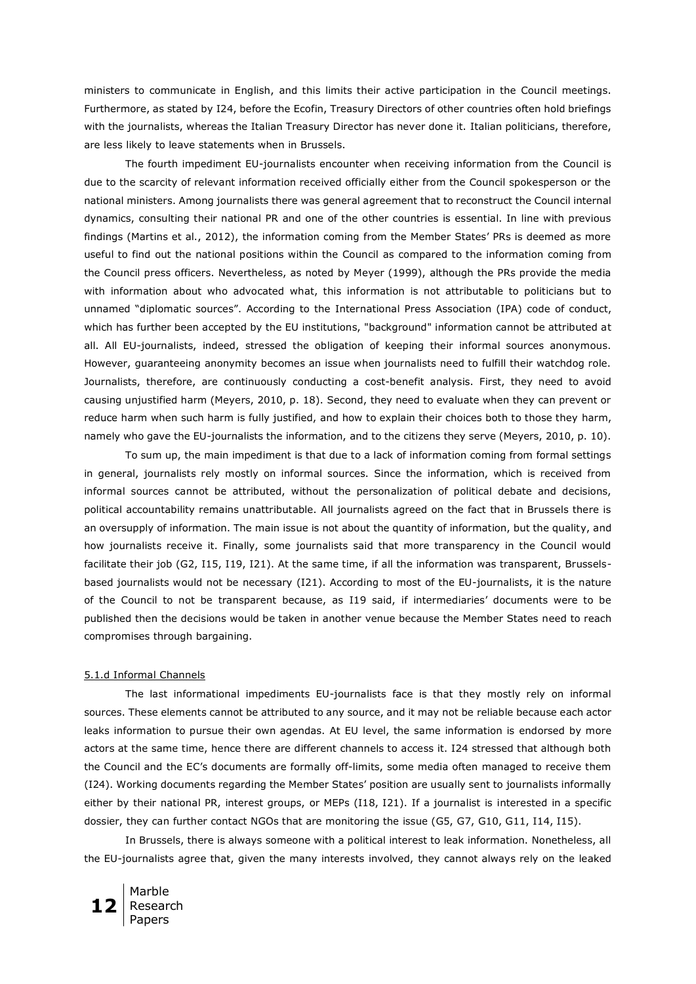ministers to communicate in English, and this limits their active participation in the Council meetings. Furthermore, as stated by I24, before the Ecofin, Treasury Directors of other countries often hold briefings with the journalists, whereas the Italian Treasury Director has never done it. Italian politicians, therefore, are less likely to leave statements when in Brussels.

The fourth impediment EU-journalists encounter when receiving information from the Council is due to the scarcity of relevant information received officially either from the Council spokesperson or the national ministers. Among journalists there was general agreement that to reconstruct the Council internal dynamics, consulting their national PR and one of the other countries is essential. In line with previous findings (Martins et al., 2012), the information coming from the Member States' PRs is deemed as more useful to find out the national positions within the Council as compared to the information coming from the Council press officers. Nevertheless, as noted by Meyer (1999), although the PRs provide the media with information about who advocated what, this information is not attributable to politicians but to unnamed "diplomatic sources". According to the International Press Association (IPA) code of conduct, which has further been accepted by the EU institutions, "background" information cannot be attributed at all. All EU-journalists, indeed, stressed the obligation of keeping their informal sources anonymous. However, guaranteeing anonymity becomes an issue when journalists need to fulfill their watchdog role. Journalists, therefore, are continuously conducting a cost-benefit analysis. First, they need to avoid causing unjustified harm (Meyers, 2010, p. 18). Second, they need to evaluate when they can prevent or reduce harm when such harm is fully justified, and how to explain their choices both to those they harm, namely who gave the EU-journalists the information, and to the citizens they serve (Meyers, 2010, p. 10).

To sum up, the main impediment is that due to a lack of information coming from formal settings in general, journalists rely mostly on informal sources. Since the information, which is received from informal sources cannot be attributed, without the personalization of political debate and decisions, political accountability remains unattributable. All journalists agreed on the fact that in Brussels there is an oversupply of information. The main issue is not about the quantity of information, but the quality, and how journalists receive it. Finally, some journalists said that more transparency in the Council would facilitate their job (G2, I15, I19, I21). At the same time, if all the information was transparent, Brusselsbased journalists would not be necessary (I21). According to most of the EU-journalists, it is the nature of the Council to not be transparent because, as I19 said, if intermediaries' documents were to be published then the decisions would be taken in another venue because the Member States need to reach compromises through bargaining.

### 5.1.d Informal Channels

The last informational impediments EU-journalists face is that they mostly rely on informal sources. These elements cannot be attributed to any source, and it may not be reliable because each actor leaks information to pursue their own agendas. At EU level, the same information is endorsed by more actors at the same time, hence there are different channels to access it. I24 stressed that although both the Council and the EC's documents are formally off-limits, some media often managed to receive them (I24). Working documents regarding the Member States' position are usually sent to journalists informally either by their national PR, interest groups, or MEPs (I18, I21). If a journalist is interested in a specific dossier, they can further contact NGOs that are monitoring the issue (G5, G7, G10, G11, I14, I15).

In Brussels, there is always someone with a political interest to leak information. Nonetheless, all the EU-journalists agree that, given the many interests involved, they cannot always rely on the leaked

**12** Marble Research Papers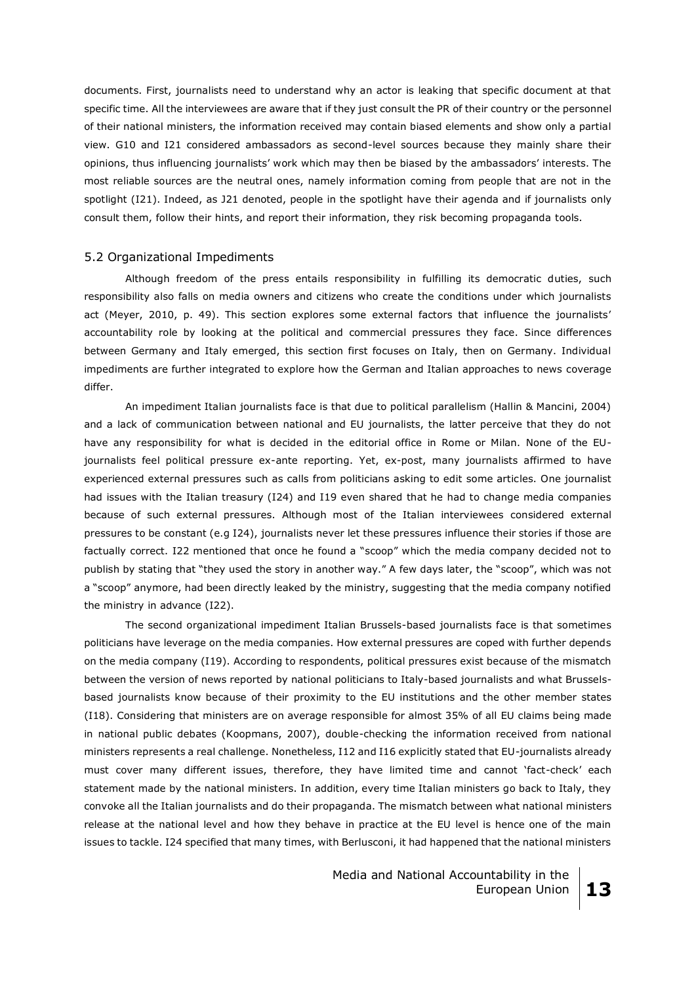documents. First, journalists need to understand why an actor is leaking that specific document at that specific time. All the interviewees are aware that if they just consult the PR of their country or the personnel of their national ministers, the information received may contain biased elements and show only a partial view. G10 and I21 considered ambassadors as second-level sources because they mainly share their opinions, thus influencing journalists' work which may then be biased by the ambassadors' interests. The most reliable sources are the neutral ones, namely information coming from people that are not in the spotlight (I21). Indeed, as J21 denoted, people in the spotlight have their agenda and if journalists only consult them, follow their hints, and report their information, they risk becoming propaganda tools.

## 5.2 Organizational Impediments

Although freedom of the press entails responsibility in fulfilling its democratic duties, such responsibility also falls on media owners and citizens who create the conditions under which journalists act (Meyer, 2010, p. 49). This section explores some external factors that influence the journalists' accountability role by looking at the political and commercial pressures they face. Since differences between Germany and Italy emerged, this section first focuses on Italy, then on Germany. Individual impediments are further integrated to explore how the German and Italian approaches to news coverage differ.

An impediment Italian journalists face is that due to political parallelism (Hallin & Mancini, 2004) and a lack of communication between national and EU journalists, the latter perceive that they do not have any responsibility for what is decided in the editorial office in Rome or Milan. None of the EUjournalists feel political pressure ex-ante reporting. Yet, ex-post, many journalists affirmed to have experienced external pressures such as calls from politicians asking to edit some articles. One journalist had issues with the Italian treasury (I24) and I19 even shared that he had to change media companies because of such external pressures. Although most of the Italian interviewees considered external pressures to be constant (e.g I24), journalists never let these pressures influence their stories if those are factually correct. I22 mentioned that once he found a "scoop" which the media company decided not to publish by stating that "they used the story in another way." A few days later, the "scoop", which was not a "scoop" anymore, had been directly leaked by the ministry, suggesting that the media company notified the ministry in advance (I22).

The second organizational impediment Italian Brussels-based journalists face is that sometimes politicians have leverage on the media companies. How external pressures are coped with further depends on the media company (I19). According to respondents, political pressures exist because of the mismatch between the version of news reported by national politicians to Italy-based journalists and what Brusselsbased journalists know because of their proximity to the EU institutions and the other member states (I18). Considering that ministers are on average responsible for almost 35% of all EU claims being made in national public debates (Koopmans, 2007), double-checking the information received from national ministers represents a real challenge. Nonetheless, I12 and I16 explicitly stated that EU-journalists already must cover many different issues, therefore, they have limited time and cannot 'fact-check' each statement made by the national ministers. In addition, every time Italian ministers go back to Italy, they convoke all the Italian journalists and do their propaganda. The mismatch between what national ministers release at the national level and how they behave in practice at the EU level is hence one of the main issues to tackle. I24 specified that many times, with Berlusconi, it had happened that the national ministers

> Media and National Accountability in the European Union | 13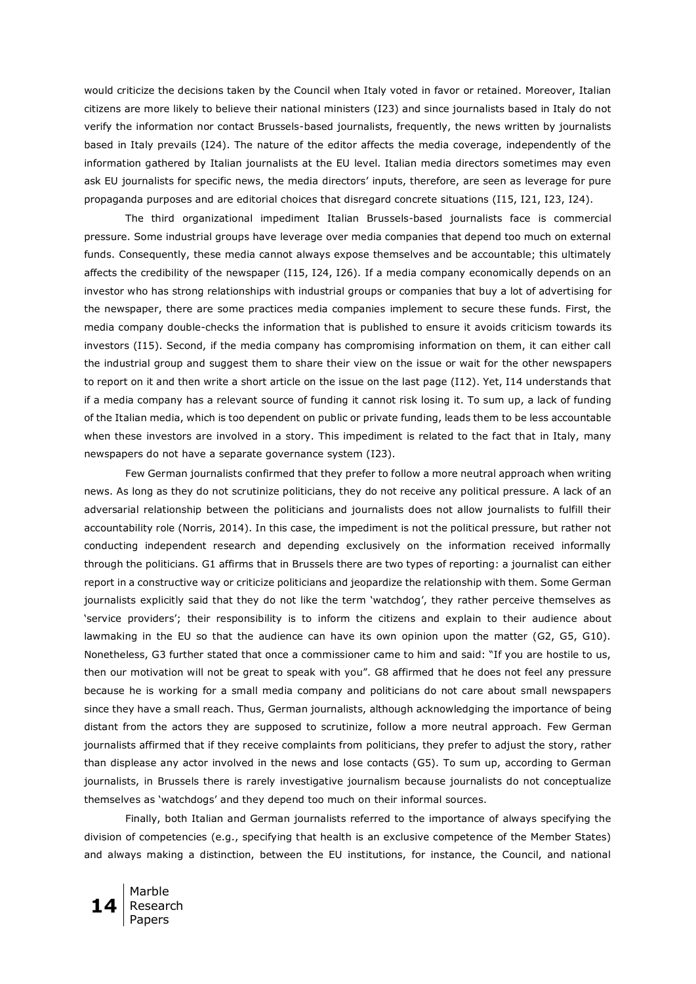would criticize the decisions taken by the Council when Italy voted in favor or retained. Moreover, Italian citizens are more likely to believe their national ministers (I23) and since journalists based in Italy do not verify the information nor contact Brussels-based journalists, frequently, the news written by journalists based in Italy prevails (I24). The nature of the editor affects the media coverage, independently of the information gathered by Italian journalists at the EU level. Italian media directors sometimes may even ask EU journalists for specific news, the media directors' inputs, therefore, are seen as leverage for pure propaganda purposes and are editorial choices that disregard concrete situations (I15, I21, I23, I24).

The third organizational impediment Italian Brussels-based journalists face is commercial pressure. Some industrial groups have leverage over media companies that depend too much on external funds. Consequently, these media cannot always expose themselves and be accountable; this ultimately affects the credibility of the newspaper (I15, I24, I26). If a media company economically depends on an investor who has strong relationships with industrial groups or companies that buy a lot of advertising for the newspaper, there are some practices media companies implement to secure these funds. First, the media company double-checks the information that is published to ensure it avoids criticism towards its investors (I15). Second, if the media company has compromising information on them, it can either call the industrial group and suggest them to share their view on the issue or wait for the other newspapers to report on it and then write a short article on the issue on the last page (I12). Yet, I14 understands that if a media company has a relevant source of funding it cannot risk losing it. To sum up, a lack of funding of the Italian media, which is too dependent on public or private funding, leads them to be less accountable when these investors are involved in a story. This impediment is related to the fact that in Italy, many newspapers do not have a separate governance system (I23).

Few German journalists confirmed that they prefer to follow a more neutral approach when writing news. As long as they do not scrutinize politicians, they do not receive any political pressure. A lack of an adversarial relationship between the politicians and journalists does not allow journalists to fulfill their accountability role (Norris, 2014). In this case, the impediment is not the political pressure, but rather not conducting independent research and depending exclusively on the information received informally through the politicians. G1 affirms that in Brussels there are two types of reporting: a journalist can either report in a constructive way or criticize politicians and jeopardize the relationship with them. Some German journalists explicitly said that they do not like the term 'watchdog', they rather perceive themselves as 'service providers'; their responsibility is to inform the citizens and explain to their audience about lawmaking in the EU so that the audience can have its own opinion upon the matter (G2, G5, G10). Nonetheless, G3 further stated that once a commissioner came to him and said: "If you are hostile to us, then our motivation will not be great to speak with you". G8 affirmed that he does not feel any pressure because he is working for a small media company and politicians do not care about small newspapers since they have a small reach. Thus, German journalists, although acknowledging the importance of being distant from the actors they are supposed to scrutinize, follow a more neutral approach. Few German journalists affirmed that if they receive complaints from politicians, they prefer to adjust the story, rather than displease any actor involved in the news and lose contacts (G5). To sum up, according to German journalists, in Brussels there is rarely investigative journalism because journalists do not conceptualize themselves as 'watchdogs' and they depend too much on their informal sources.

Finally, both Italian and German journalists referred to the importance of always specifying the division of competencies (e.g., specifying that health is an exclusive competence of the Member States) and always making a distinction, between the EU institutions, for instance, the Council, and national

**14** Marble Research Papers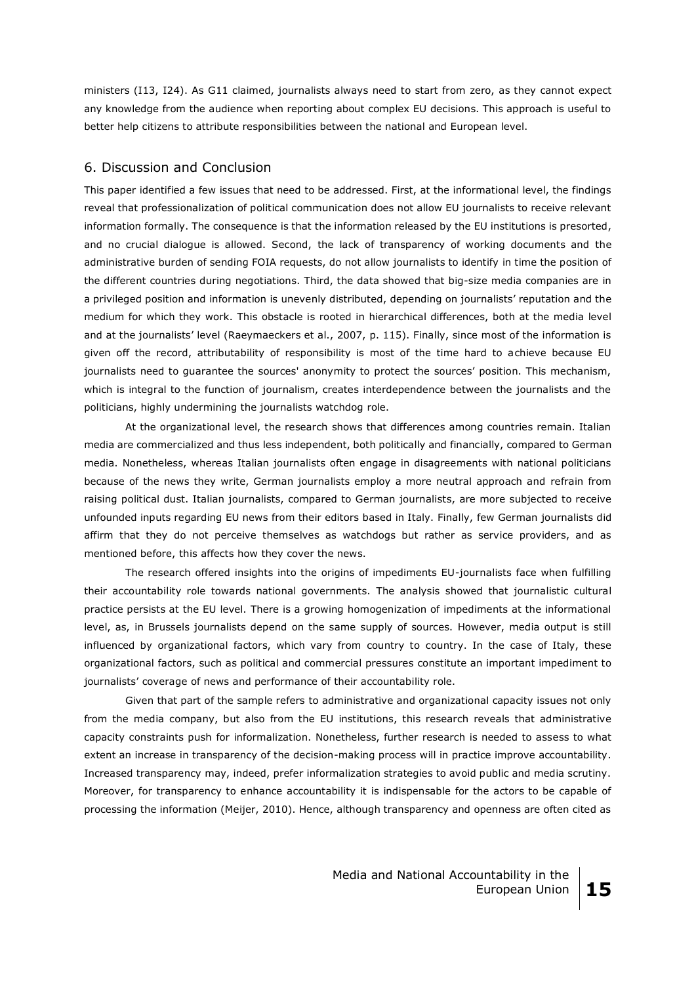ministers (I13, I24). As G11 claimed, journalists always need to start from zero, as they cannot expect any knowledge from the audience when reporting about complex EU decisions. This approach is useful to better help citizens to attribute responsibilities between the national and European level.

# 6. Discussion and Conclusion

This paper identified a few issues that need to be addressed. First, at the informational level, the findings reveal that professionalization of political communication does not allow EU journalists to receive relevant information formally. The consequence is that the information released by the EU institutions is presorted, and no crucial dialogue is allowed. Second, the lack of transparency of working documents and the administrative burden of sending FOIA requests, do not allow journalists to identify in time the position of the different countries during negotiations. Third, the data showed that big-size media companies are in a privileged position and information is unevenly distributed, depending on journalists' reputation and the medium for which they work. This obstacle is rooted in hierarchical differences, both at the media level and at the journalists' level (Raeymaeckers et al., 2007, p. 115). Finally, since most of the information is given off the record, attributability of responsibility is most of the time hard to achieve because EU journalists need to guarantee the sources' anonymity to protect the sources' position. This mechanism, which is integral to the function of journalism, creates interdependence between the journalists and the politicians, highly undermining the journalists watchdog role.

At the organizational level, the research shows that differences among countries remain. Italian media are commercialized and thus less independent, both politically and financially, compared to German media. Nonetheless, whereas Italian journalists often engage in disagreements with national politicians because of the news they write, German journalists employ a more neutral approach and refrain from raising political dust. Italian journalists, compared to German journalists, are more subjected to receive unfounded inputs regarding EU news from their editors based in Italy. Finally, few German journalists did affirm that they do not perceive themselves as watchdogs but rather as service providers, and as mentioned before, this affects how they cover the news.

The research offered insights into the origins of impediments EU-journalists face when fulfilling their accountability role towards national governments. The analysis showed that journalistic cultural practice persists at the EU level. There is a growing homogenization of impediments at the informational level, as, in Brussels journalists depend on the same supply of sources. However, media output is still influenced by organizational factors, which vary from country to country. In the case of Italy, these organizational factors, such as political and commercial pressures constitute an important impediment to journalists' coverage of news and performance of their accountability role.

Given that part of the sample refers to administrative and organizational capacity issues not only from the media company, but also from the EU institutions, this research reveals that administrative capacity constraints push for informalization. Nonetheless, further research is needed to assess to what extent an increase in transparency of the decision-making process will in practice improve accountability. Increased transparency may, indeed, prefer informalization strategies to avoid public and media scrutiny. Moreover, for transparency to enhance accountability it is indispensable for the actors to be capable of processing the information (Meijer, 2010). Hence, although transparency and openness are often cited as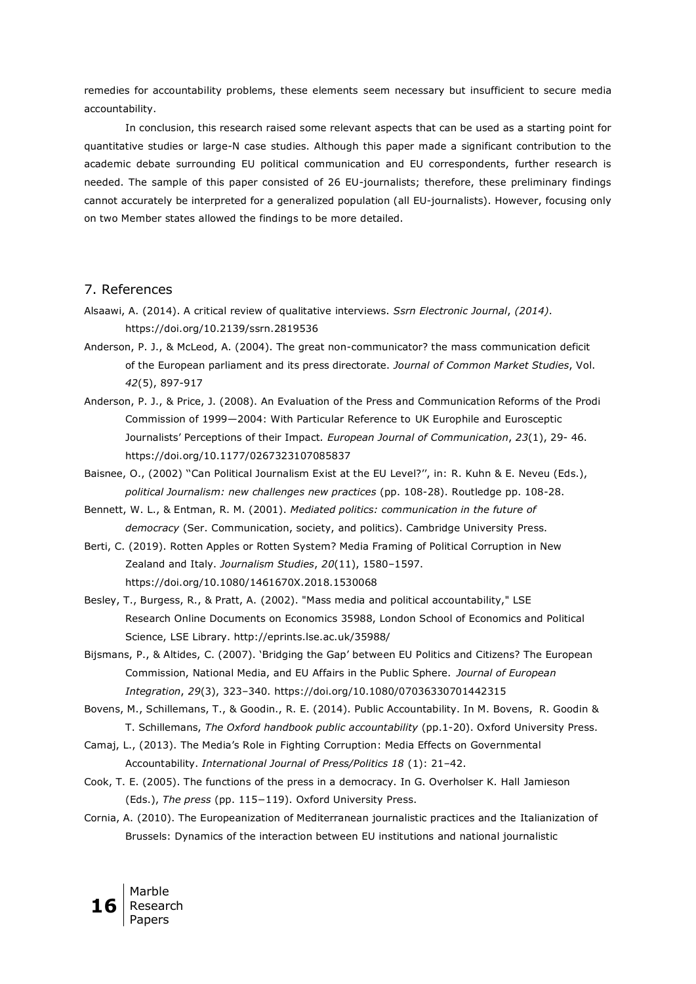remedies for accountability problems, these elements seem necessary but insufficient to secure media accountability.

In conclusion, this research raised some relevant aspects that can be used as a starting point for quantitative studies or large-N case studies. Although this paper made a significant contribution to the academic debate surrounding EU political communication and EU correspondents, further research is needed. The sample of this paper consisted of 26 EU-journalists; therefore, these preliminary findings cannot accurately be interpreted for a generalized population (all EU-journalists). However, focusing only on two Member states allowed the findings to be more detailed.

# 7. References

- Alsaawi, A. (2014). A critical review of qualitative interviews. *Ssrn Electronic Journal*, *(2014)*. https://doi.org/10.2139/ssrn.2819536
- Anderson, P. J., & McLeod, A. (2004). The great non-communicator? the mass communication deficit of the European parliament and its press directorate. *Journal of Common Market Studies*, Vol. *42*(5), 897-917
- Anderson, P. J., & Price, J. (2008). An Evaluation of the Press and Communication Reforms of the Prodi Commission of 1999—2004: With Particular Reference to UK Europhile and Eurosceptic Journalists' Perceptions of their Impact*. European Journal of Communication*, *23*(1), 29- 46. <https://doi.org/10.1177/0267323107085837>
- Baisnee, O., (2002) "Can Political Journalism Exist at the EU Level?", in: R. Kuhn & E. Neveu (Eds.), *political Journalism: new challenges new practices* (pp. 108-28). Routledge pp. 108-28.
- Bennett, W. L., & Entman, R. M. (2001). *Mediated politics: communication in the future of democracy* (Ser. Communication, society, and politics). Cambridge University Press.
- Berti, C. (2019). Rotten Apples or Rotten System? Media Framing of Political Corruption in New Zealand and Italy. *Journalism Studies*, *20*(11), 1580–1597. <https://doi.org/10.1080/1461670X.2018.1530068>
- Besley, T., Burgess, R., & Pratt, A. (2002). "Mass media and political accountability," LSE Research Online Documents on Economics 35988, London School of Economics and Political Science, LSE Library. http://eprints.lse.ac.uk/35988/
- Bijsmans, P., & Altides, C. (2007). 'Bridging the Gap' between EU Politics and Citizens? The European Commission, National Media, and EU Affairs in the Public Sphere. *Journal of European Integration*, *29*(3), 323–340. <https://doi.org/10.1080/07036330701442315>
- Bovens, M., Schillemans, T., & Goodin., R. E. (2014). Public Accountability. In M. Bovens, R. Goodin & T. Schillemans, *The Oxford handbook public accountability* (pp.1-20). Oxford University Press.
- Camaj, L., (2013). The Media's Role in Fighting Corruption: Media Effects on Governmental Accountability. *International Journal of Press/Politics 18* (1): 21–42.
- Cook, T. E. (2005). The functions of the press in a democracy. In G. Overholser K. Hall Jamieson (Eds.), *The press* (pp. 115−119). Oxford University Press.
- Cornia, A. (2010). The Europeanization of Mediterranean journalistic practices and the Italianization of Brussels: Dynamics of the interaction between EU institutions and national journalistic

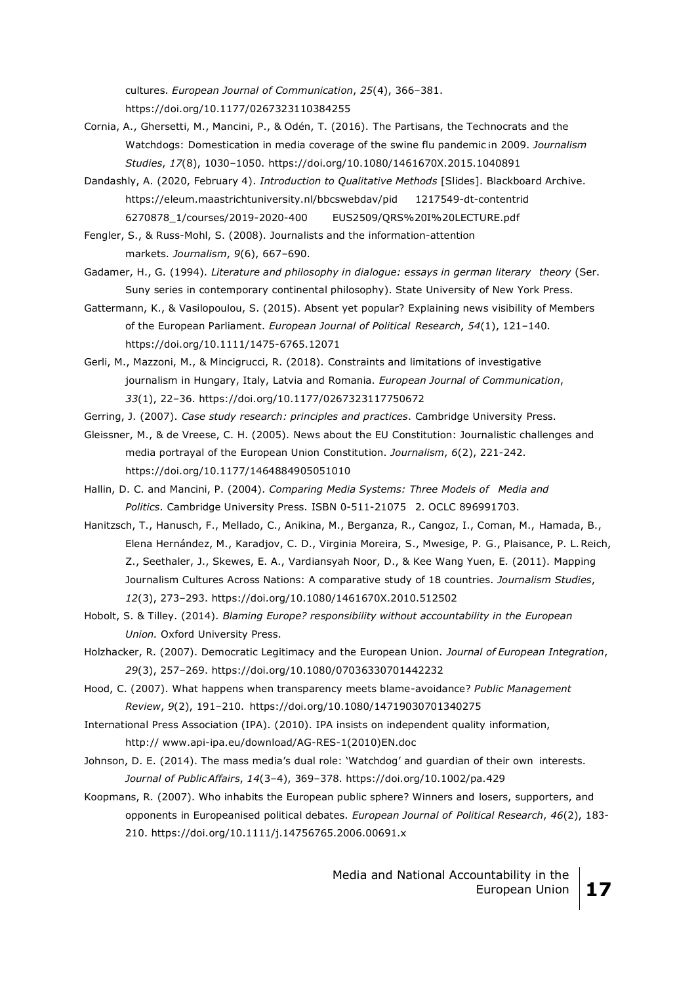cultures. *European Journal of Communication*, *25*(4), 366–381. <https://doi.org/10.1177/0267323110384255>

- Cornia, A., Ghersetti, M., Mancini, P., & Odén, T. (2016). The Partisans, the Technocrats and the Watchdogs: Domestication in media coverage of the swine flu pandemic in 2009. *Journalism Studies*, *17*(8), 1030–1050. <https://doi.org/10.1080/1461670X.2015.1040891>
- Dandashly, A. (2020, February 4). *Introduction to Qualitative Methods* [Slides]. Blackboard Archive. [https://eleum.maastrichtuniversity.nl/bbcswebdav/pid](https://eleum.maastrichtuniversity.nl/bbcswebdav/pid%091217549-dt-contentrid%096270878_1/courses/2019-2020-400%09EUS2509/QRS%20I%20LECTURE.pdf) 1217549-dt-contentrid 6270878\_1/courses/2019-2020-400 [EUS2509/QRS%20I%20LECTURE.pdf](https://eleum.maastrichtuniversity.nl/bbcswebdav/pid%091217549-dt-contentrid%096270878_1/courses/2019-2020-400%09EUS2509/QRS%20I%20LECTURE.pdf)
- Fengler, S., & Russ-Mohl, S. (2008). Journalists and the information-attention markets. *Journalism*, *9*(6), 667–690.
- Gadamer, H., G. (1994). *Literature and philosophy in dialogue: essays in german literary theory* (Ser. Suny series in contemporary continental philosophy). State University of New York Press.
- Gattermann, K., & Vasilopoulou, S. (2015). Absent yet popular? Explaining news visibility of Members of the European Parliament. *European Journal of Political Research*, *54*(1), 121–140. <https://doi.org/10.1111/1475-6765.12071>
- Gerli, M., Mazzoni, M., & Mincigrucci, R. (2018). Constraints and limitations of investigative journalism in Hungary, Italy, Latvia and Romania. *European Journal of Communication*, *33*(1), 22–36.<https://doi.org/10.1177/0267323117750672>
- Gerring, J. (2007). *Case study research: principles and practices*. Cambridge University Press.

Gleissner, M., & de Vreese, C. H. (2005). News about the EU Constitution: Journalistic challenges and media portrayal of the European Union Constitution. *Journalism*, *6*(2), 221-242. <https://doi.org/10.1177/1464884905051010>

- Hallin, D. C. and Mancini, P. (2004). *Comparing Media Systems: Three Models of Media and Politics*. Cambridge University Press. [ISBN](https://en.wikipedia.org/wiki/ISBN_(identifier)) [0-511-21075](https://en.wikipedia.org/wiki/Special:BookSources/0-511-21075-2) 2. [OCLC](https://en.wikipedia.org/wiki/OCLC_(identifier)) [896991703.](https://www.worldcat.org/oclc/896991703)
- Hanitzsch, T., Hanusch, F., Mellado, C., Anikina, M., Berganza, R., Cangoz, I., Coman, M., Hamada, B., Elena Hernández, M., Karadjov, C. D., Virginia Moreira, S., Mwesige, P. G., Plaisance, P. L.Reich, Z., Seethaler, J., Skewes, E. A., Vardiansyah Noor, D., & Kee Wang Yuen, E. (2011). Mapping Journalism Cultures Across Nations: A comparative study of 18 countries. *Journalism Studies*, *12*(3), 273–293. <https://doi.org/10.1080/1461670X.2010.512502>
- Hobolt, S. & Tilley. (2014). *Blaming Europe? responsibility without accountability in the European Union.* Oxford University Press.
- Holzhacker, R. (2007). Democratic Legitimacy and the European Union. *Journal of European Integration*, *29*(3), 257–269. <https://doi.org/10.1080/07036330701442232>
- Hood, C. (2007). What happens when transparency meets blame-avoidance? *Public Management Review*, *9*(2), 191–210. <https://doi.org/10.1080/14719030701340275>
- International Press Association (IPA). (2010). IPA insists on independent quality information, http:// [www.api-ipa.eu/download/AG-RES-1\(2010\)EN.doc](http://www.api-ipa.eu/download/AG-RES-1(2010)EN.doc)
- Johnson, D. E. (2014). The mass media's dual role: 'Watchdog' and guardian of their own interests. *Journal of PublicAffairs*, *14*(3–4), 369–378. <https://doi.org/10.1002/pa.429>
- Koopmans, R. (2007). Who inhabits the European public sphere? Winners and losers, supporters, and opponents in Europeanised political debates. *European Journal of Political Research*, *46*(2), 183- 210.<https://doi.org/10.1111/j.14756765.2006.00691.x>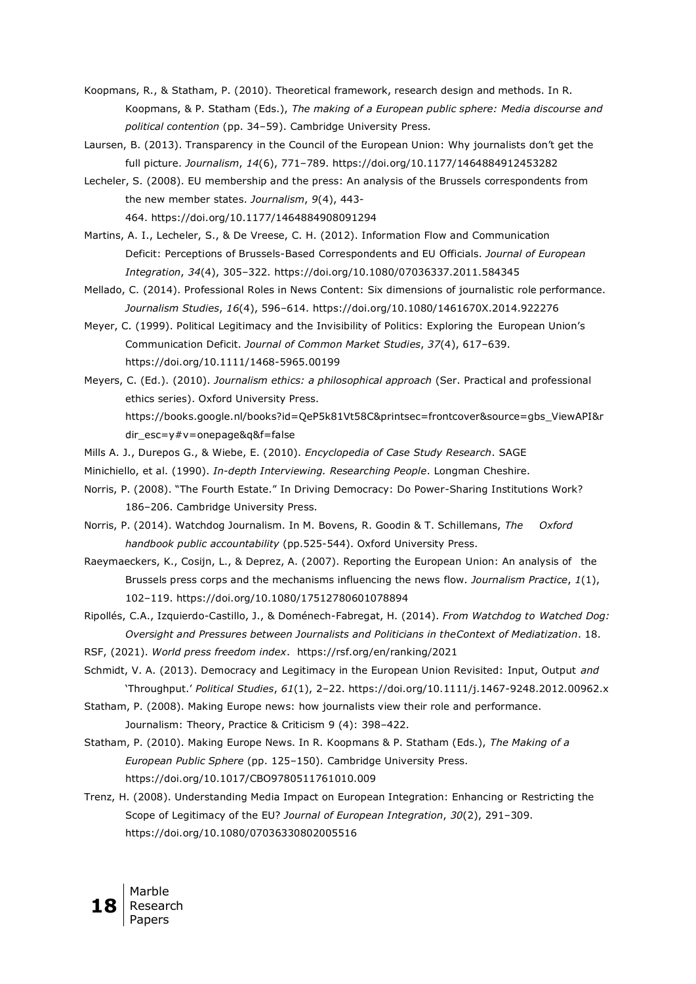- Koopmans, R., & Statham, P. (2010). Theoretical framework, research design and methods. In R. Koopmans, & P. Statham (Eds.), *The making of a European public sphere: Media discourse and political contention* (pp. 34–59). Cambridge University Press.
- Laursen, B. (2013). Transparency in the Council of the European Union: Why journalists don't get the full picture. *Journalism*, *14*(6), 771–789. <https://doi.org/10.1177/1464884912453282>
- Lecheler, S. (2008). EU membership and the press: An analysis of the Brussels correspondents from the new member states. *Journalism*, *9*(4), 443- 464. <https://doi.org/10.1177/1464884908091294>
- Martins, A. I., Lecheler, S., & De Vreese, C. H. (2012). Information Flow and Communication Deficit: Perceptions of Brussels-Based Correspondents and EU Officials. *Journal of European Integration*, *34*(4), 305–322. <https://doi.org/10.1080/07036337.2011.584345>
- Mellado, C. (2014). Professional Roles in News Content: Six dimensions of journalistic role performance. *Journalism Studies*, *16*(4), 596–614. <https://doi.org/10.1080/1461670X.2014.922276>
- Meyer, C. (1999). Political Legitimacy and the Invisibility of Politics: Exploring the European Union's Communication Deficit. *Journal of Common Market Studies*, *37*(4), 617–639. <https://doi.org/10.1111/1468-5965.00199>
- Meyers, C. (Ed.). (2010). *Journalism ethics: a philosophical approach* (Ser. Practical and professional ethics series). Oxford University Press. [https://books.google.nl/books?id=QeP5k81Vt58C&printsec=frontcover&source=gbs\\_ViewAPI&r](https://books.google.nl/books?id=QeP5k81Vt58C&printsec=frontcover&source=gbs_ViewAPI&r) dir\_esc=y#v=onepage&q&f=false
- Mills A. J., Durepos G., & Wiebe, E. (2010). *Encyclopedia of Case Study Research*. SAGE
- Minichiello, et al. (1990). *In-depth Interviewing. Researching People*. Longman Cheshire.
- Norris, P. (2008). "The Fourth Estate." In Driving Democracy: Do Power-Sharing Institutions Work? 186–206. Cambridge University Press.
- Norris, P. (2014). Watchdog Journalism. In M. Bovens, R. Goodin & T. Schillemans, *The Oxford handbook public accountability* (pp.525-544). Oxford University Press.
- Raeymaeckers, K., Cosijn, L., & Deprez, A. (2007). Reporting the European Union: An analysis of the Brussels press corps and the mechanisms influencing the news flow. *Journalism Practice*, *1*(1), 102–119. <https://doi.org/10.1080/17512780601078894>
- Ripollés, C.A., Izquierdo-Castillo, J., & Doménech-Fabregat, H. (2014). *From Watchdog to Watched Dog: Oversight and Pressures between Journalists and Politicians in theContext of Mediatization*. 18.
- RSF, (2021). *World press freedom index*. <https://rsf.org/en/ranking/2021>
- Schmidt, V. A. (2013). Democracy and Legitimacy in the European Union Revisited: Input, Output *and* 'Throughput.' *Political Studies*, *61*(1), 2–22. <https://doi.org/10.1111/j.1467-9248.2012.00962.x>
- Statham, P. (2008). Making Europe news: how journalists view their role and performance. Journalism: Theory, Practice & Criticism 9 (4): 398–422.
- Statham, P. (2010). Making Europe News. In R. Koopmans & P. Statham (Eds.), *The Making of a European Public Sphere* (pp. 125–150). Cambridge University Press. <https://doi.org/10.1017/CBO9780511761010.009>
- Trenz, H. (2008). Understanding Media Impact on European Integration: Enhancing or Restricting the Scope of Legitimacy of the EU? *Journal of European Integration*, *30*(2), 291–309. https://doi.org/10.1080/07036330802005516

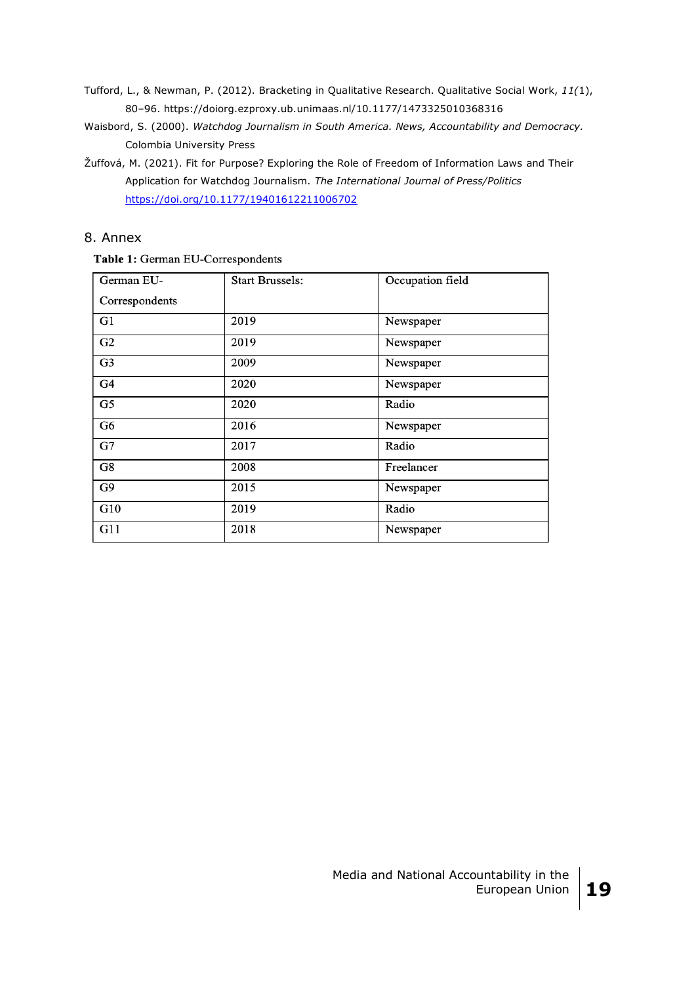- Tufford, L., & Newman, P. (2012). Bracketing in Qualitative Research. Qualitative Social Work, *11(*1), 80–96. <https://doiorg.ezproxy.ub.unimaas.nl/10.1177/1473325010368316>
- Waisbord, S. (2000). *Watchdog Journalism in South America. News, Accountability and Democracy.* Colombia University Press
- Žuffová, M. (2021). Fit for Purpose? Exploring the Role of Freedom of Information Laws and Their Application for Watchdog Journalism. *The International Journal of Press/Politics* <https://doi.org/10.1177/19401612211006702>

# 8. Annex

# Table 1: German EU-Correspondents

| German EU-     | <b>Start Brussels:</b> | Occupation field |
|----------------|------------------------|------------------|
| Correspondents |                        |                  |
| G1             | 2019                   | Newspaper        |
| G <sub>2</sub> | 2019                   | Newspaper        |
| G <sub>3</sub> | 2009                   | Newspaper        |
| G4             | 2020                   | Newspaper        |
| G5             | 2020                   | Radio            |
| G6             | 2016                   | Newspaper        |
| G7             | 2017                   | Radio            |
| G8             | 2008                   | Freelancer       |
| G9             | 2015                   | Newspaper        |
| G10            | 2019                   | Radio            |
| G11            | 2018                   | Newspaper        |